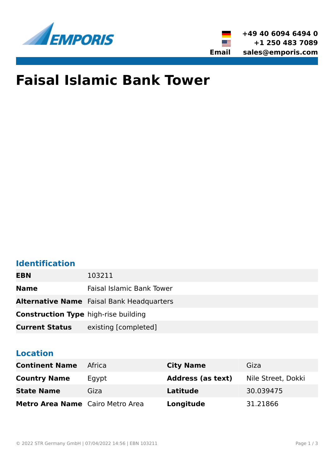



# **Faisal Islamic Bank Tower**

## **Identification**

| <b>EBN</b>                                  | 103211                                           |
|---------------------------------------------|--------------------------------------------------|
| <b>Name</b>                                 | Faisal Islamic Bank Tower                        |
|                                             | <b>Alternative Name</b> Faisal Bank Headquarters |
| <b>Construction Type high-rise building</b> |                                                  |
| <b>Current Status</b>                       | existing [completed]                             |

## **Location**

| <b>Continent Name</b>            | Africa | <b>City Name</b>         | Giza               |
|----------------------------------|--------|--------------------------|--------------------|
| <b>Country Name</b>              | Egypt  | <b>Address (as text)</b> | Nile Street, Dokki |
| <b>State Name</b>                | Giza   | Latitude                 | 30.039475          |
| Metro Area Name Cairo Metro Area |        | Longitude                | 31.21866           |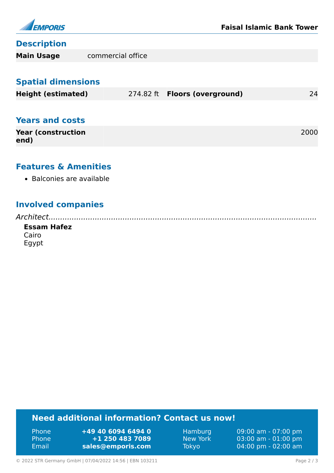

## **Description**

| <b>Main Usage</b> | commercial office |
|-------------------|-------------------|

#### **Spatial dimensions**

| <b>Height (estimated)</b> | 274.82 ft <b>Floors (overground)</b> | 24 |
|---------------------------|--------------------------------------|----|
|                           |                                      |    |

#### **Years and costs**

**Year (construction end)**

2000

## **Features & Amenities**

• Balconies are available

#### **Involved companies**

*Architect....................................................................................................................*

#### **Essam Hafez** Cairo

Egypt

## **Need additional information? Contact us now!**

| Phone        | $+494$ |
|--------------|--------|
| <b>Phone</b> | $+1$   |
| Email        | sales  |

 $0$  6094 6494 0 Phone **+1 250 483 7089** Email **<sales@emporis.com>**

Hamburg 09:00 am - 07:00 pm New York 03:00 am - 01:00 pm Tokyo 04:00 pm - 02:00 am